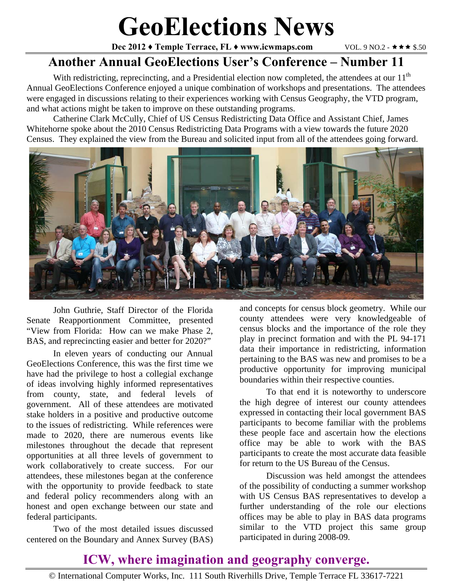# **GeoElections News**

**Dec 2012 ♦ Temple Terrace, FL ♦ www.icwmaps.com**  $VOL. 9 NO.2 - * * * *$  **\$.50** 

## **Another Annual GeoElections User's Conference – Number 11**

With redistricting, reprecincting, and a Presidential election now completed, the attendees at our 11<sup>th</sup> Annual GeoElections Conference enjoyed a unique combination of workshops and presentations. The attendees were engaged in discussions relating to their experiences working with Census Geography, the VTD program, and what actions might be taken to improve on these outstanding programs.

Catherine Clark McCully, Chief of US Census Redistricting Data Office and Assistant Chief, James Whitehorne spoke about the 2010 Census Redistricting Data Programs with a view towards the future 2020 Census. They explained the view from the Bureau and solicited input from all of the attendees going forward.



 John Guthrie, Staff Director of the Florida Senate Reapportionment Committee, presented "View from Florida: How can we make Phase 2, BAS, and reprecincting easier and better for 2020?"

 In eleven years of conducting our Annual GeoElections Conference, this was the first time we have had the privilege to host a collegial exchange of ideas involving highly informed representatives from county, state, and federal levels of government. All of these attendees are motivated stake holders in a positive and productive outcome to the issues of redistricting. While references were made to 2020, there are numerous events like milestones throughout the decade that represent opportunities at all three levels of government to work collaboratively to create success. For our attendees, these milestones began at the conference with the opportunity to provide feedback to state and federal policy recommenders along with an honest and open exchange between our state and federal participants.

 Two of the most detailed issues discussed centered on the Boundary and Annex Survey (BAS)

and concepts for census block geometry. While our county attendees were very knowledgeable of census blocks and the importance of the role they play in precinct formation and with the PL 94-171 data their importance in redistricting, information pertaining to the BAS was new and promises to be a productive opportunity for improving municipal boundaries within their respective counties.

 To that end it is noteworthy to underscore the high degree of interest our county attendees expressed in contacting their local government BAS participants to become familiar with the problems these people face and ascertain how the elections office may be able to work with the BAS participants to create the most accurate data feasible for return to the US Bureau of the Census.

 Discussion was held amongst the attendees of the possibility of conducting a summer workshop with US Census BAS representatives to develop a further understanding of the role our elections offices may be able to play in BAS data programs similar to the VTD project this same group participated in during 2008-09.

#### **ICW, where imagination and geography converge.**